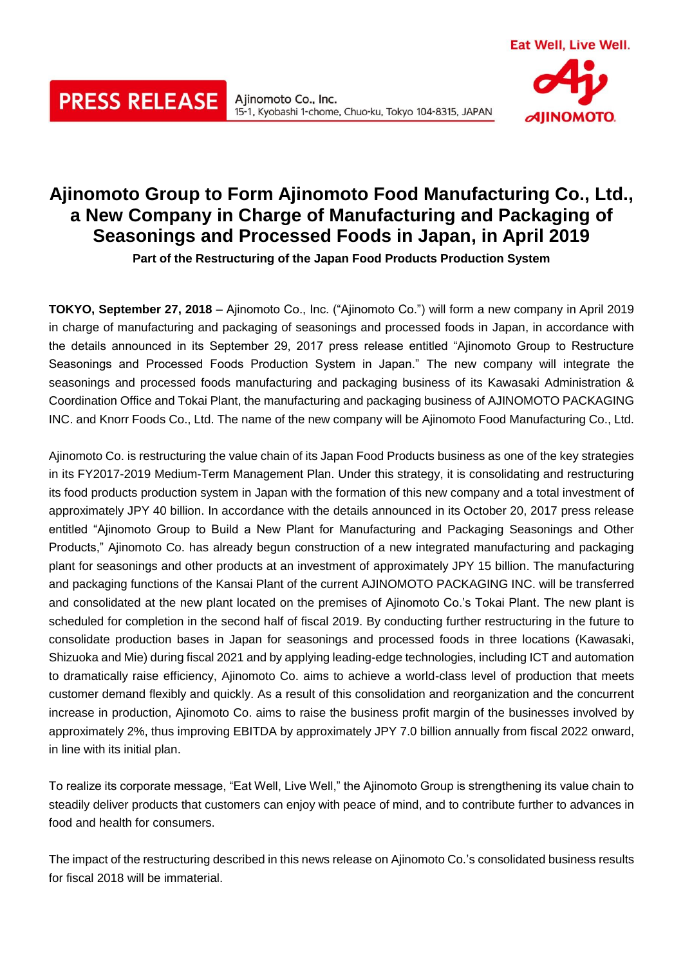Ajinomoto Co., Inc. 15-1, Kyobashi 1-chome, Chuo-ku, Tokyo 104-8315, JAPAN



# **Ajinomoto Group to Form Ajinomoto Food Manufacturing Co., Ltd., a New Company in Charge of Manufacturing and Packaging of Seasonings and Processed Foods in Japan, in April 2019**

**Part of the Restructuring of the Japan Food Products Production System** 

**TOKYO, September 27, 2018** – Ajinomoto Co., Inc. ("Ajinomoto Co.") will form a new company in April 2019 in charge of manufacturing and packaging of seasonings and processed foods in Japan, in accordance with the details announced in its September 29, 2017 press release entitled "Ajinomoto Group to Restructure Seasonings and Processed Foods Production System in Japan." The new company will integrate the seasonings and processed foods manufacturing and packaging business of its Kawasaki Administration & Coordination Office and Tokai Plant, the manufacturing and packaging business of AJINOMOTO PACKAGING INC. and Knorr Foods Co., Ltd. The name of the new company will be Ajinomoto Food Manufacturing Co., Ltd.

Ajinomoto Co. is restructuring the value chain of its Japan Food Products business as one of the key strategies in its FY2017-2019 Medium-Term Management Plan. Under this strategy, it is consolidating and restructuring its food products production system in Japan with the formation of this new company and a total investment of approximately JPY 40 billion. In accordance with the details announced in its October 20, 2017 press release entitled "Ajinomoto Group to Build a New Plant for Manufacturing and Packaging Seasonings and Other Products," Ajinomoto Co. has already begun construction of a new integrated manufacturing and packaging plant for seasonings and other products at an investment of approximately JPY 15 billion. The manufacturing and packaging functions of the Kansai Plant of the current AJINOMOTO PACKAGING INC. will be transferred and consolidated at the new plant located on the premises of Ajinomoto Co.'s Tokai Plant. The new plant is scheduled for completion in the second half of fiscal 2019. By conducting further restructuring in the future to consolidate production bases in Japan for seasonings and processed foods in three locations (Kawasaki, Shizuoka and Mie) during fiscal 2021 and by applying leading-edge technologies, including ICT and automation to dramatically raise efficiency, Ajinomoto Co. aims to achieve a world-class level of production that meets customer demand flexibly and quickly. As a result of this consolidation and reorganization and the concurrent increase in production, Ajinomoto Co. aims to raise the business profit margin of the businesses involved by approximately 2%, thus improving EBITDA by approximately JPY 7.0 billion annually from fiscal 2022 onward, in line with its initial plan.

To realize its corporate message, "Eat Well, Live Well," the Ajinomoto Group is strengthening its value chain to steadily deliver products that customers can enjoy with peace of mind, and to contribute further to advances in food and health for consumers.

The impact of the restructuring described in this news release on Ajinomoto Co.'s consolidated business results for fiscal 2018 will be immaterial.